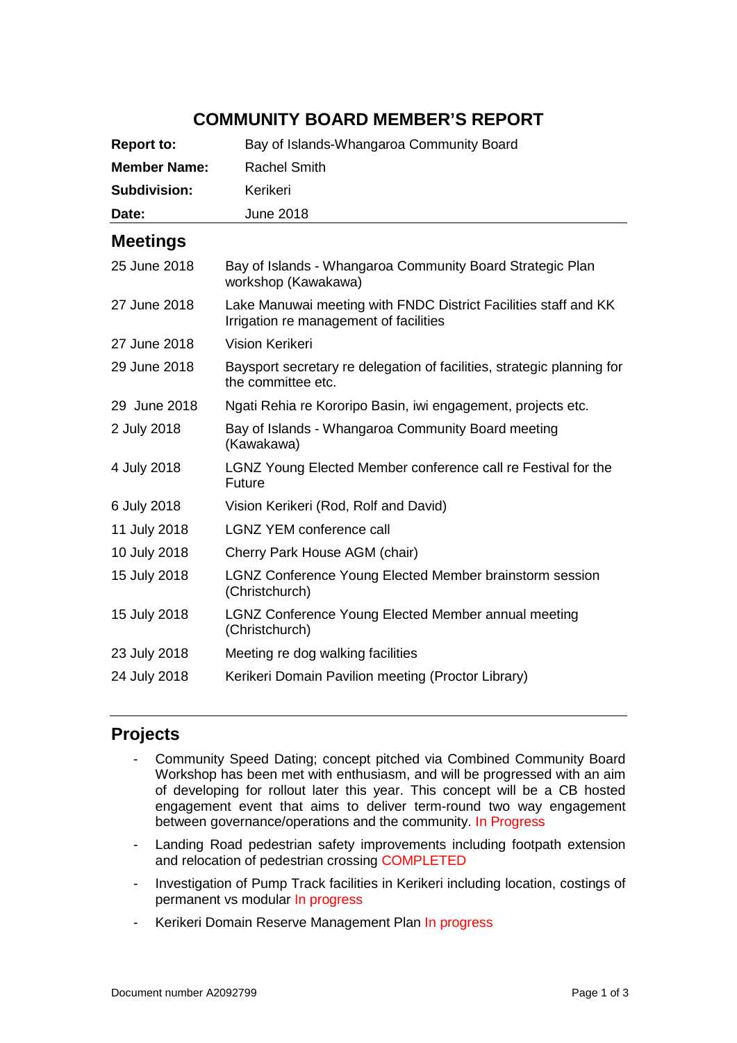# **COMMUNITY BOARD MEMBER'S REPORT**

| <b>Report to:</b>   | Bay of Islands-Whangaroa Community Board                                                                  |
|---------------------|-----------------------------------------------------------------------------------------------------------|
| <b>Member Name:</b> | <b>Rachel Smith</b>                                                                                       |
| <b>Subdivision:</b> | Kerikeri                                                                                                  |
| Date:               | <b>June 2018</b>                                                                                          |
| <b>Meetings</b>     |                                                                                                           |
| 25 June 2018        | Bay of Islands - Whangaroa Community Board Strategic Plan<br>workshop (Kawakawa)                          |
| 27 June 2018        | Lake Manuwai meeting with FNDC District Facilities staff and KK<br>Irrigation re management of facilities |
| 27 June 2018        | Vision Kerikeri                                                                                           |
| 29 June 2018        | Baysport secretary re delegation of facilities, strategic planning for<br>the committee etc.              |
| 29 June 2018        | Ngati Rehia re Kororipo Basin, iwi engagement, projects etc.                                              |
| 2 July 2018         | Bay of Islands - Whangaroa Community Board meeting<br>(Kawakawa)                                          |
| 4 July 2018         | LGNZ Young Elected Member conference call re Festival for the<br><b>Future</b>                            |
| 6 July 2018         | Vision Kerikeri (Rod, Rolf and David)                                                                     |
| 11 July 2018        | <b>LGNZ YEM conference call</b>                                                                           |
| 10 July 2018        | Cherry Park House AGM (chair)                                                                             |
| 15 July 2018        | <b>LGNZ Conference Young Elected Member brainstorm session</b><br>(Christchurch)                          |
| 15 July 2018        | LGNZ Conference Young Elected Member annual meeting<br>(Christchurch)                                     |
| 23 July 2018        | Meeting re dog walking facilities                                                                         |
| 24 July 2018        | Kerikeri Domain Pavilion meeting (Proctor Library)                                                        |

# **Projects**

- Community Speed Dating; concept pitched via Combined Community Board Workshop has been met with enthusiasm, and will be progressed with an aim of developing for rollout later this year. This concept will be a CB hosted engagement event that aims to deliver term-round two way engagement between governance/operations and the community. In Progress
- Landing Road pedestrian safety improvements including footpath extension and relocation of pedestrian crossing COMPLETED
- Investigation of Pump Track facilities in Kerikeri including location, costings of permanent vs modular In progress
- Kerikeri Domain Reserve Management Plan In progress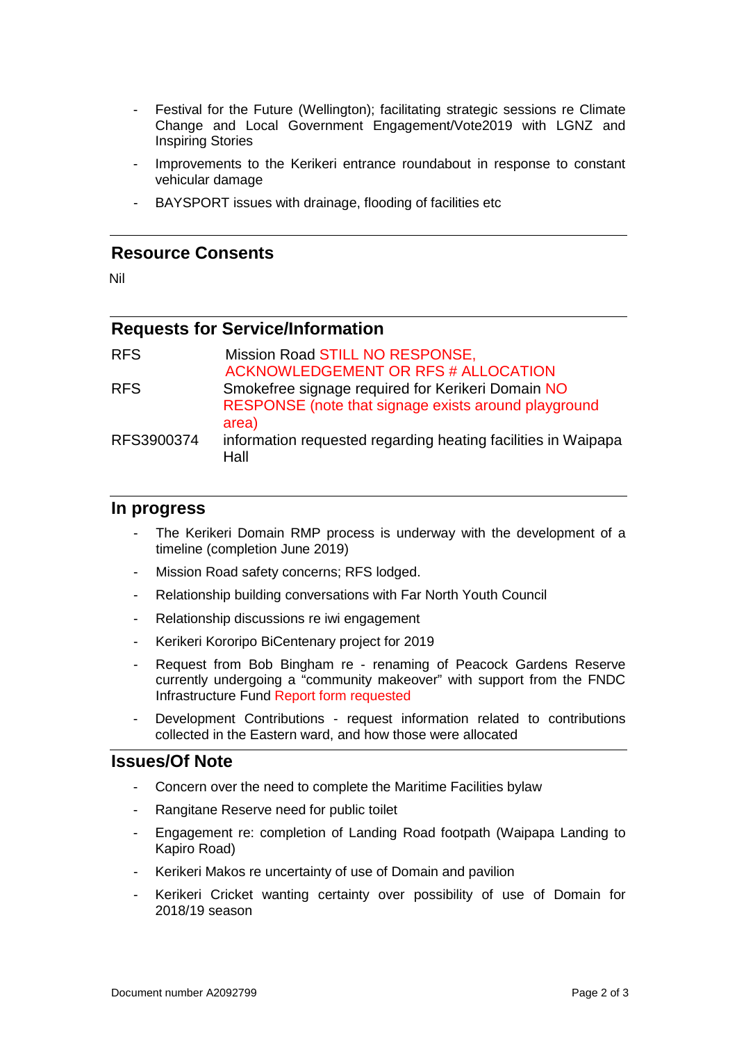- Festival for the Future (Wellington); facilitating strategic sessions re Climate Change and Local Government Engagement/Vote2019 with LGNZ and Inspiring Stories
- Improvements to the Kerikeri entrance roundabout in response to constant vehicular damage
- BAYSPORT issues with drainage, flooding of facilities etc

### **Resource Consents**

Nil

## **Requests for Service/Information**

| <b>RFS</b> | Mission Road STILL NO RESPONSE,                               |
|------------|---------------------------------------------------------------|
|            | ACKNOWLEDGEMENT OR RFS # ALLOCATION                           |
| <b>RFS</b> | Smokefree signage required for Kerikeri Domain NO             |
|            | RESPONSE (note that signage exists around playground          |
|            | area)                                                         |
| RFS3900374 | information requested regarding heating facilities in Waipapa |
|            | Hall                                                          |

#### **In progress**

- The Kerikeri Domain RMP process is underway with the development of a timeline (completion June 2019)
- Mission Road safety concerns; RFS lodged.
- Relationship building conversations with Far North Youth Council
- Relationship discussions re iwi engagement
- Kerikeri Kororipo BiCentenary project for 2019
- Request from Bob Bingham re renaming of Peacock Gardens Reserve currently undergoing a "community makeover" with support from the FNDC Infrastructure Fund Report form requested
- Development Contributions request information related to contributions collected in the Eastern ward, and how those were allocated

#### **Issues/Of Note**

- Concern over the need to complete the Maritime Facilities bylaw
- Rangitane Reserve need for public toilet
- Engagement re: completion of Landing Road footpath (Waipapa Landing to Kapiro Road)
- Kerikeri Makos re uncertainty of use of Domain and pavilion
- Kerikeri Cricket wanting certainty over possibility of use of Domain for 2018/19 season